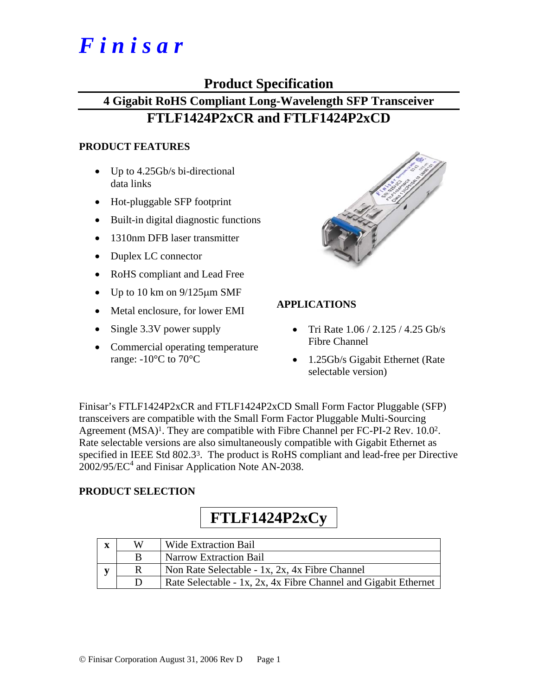# *F i n i s a r*

## **Product Specification**

# **4 Gigabit RoHS Compliant Long-Wavelength SFP Transceiver FTLF1424P2xCR and FTLF1424P2xCD**

#### **PRODUCT FEATURES**

- Up to 4.25Gb/s bi-directional data links
- Hot-pluggable SFP footprint
- Built-in digital diagnostic functions
- 1310nm DFB laser transmitter
- Duplex LC connector
- RoHS compliant and Lead Free
- Up to 10 km on  $9/125 \mu m$  SMF
- Metal enclosure, for lower EMI
- Single 3.3V power supply
- Commercial operating temperature range:  $-10^{\circ}$ C to 70 $^{\circ}$ C



### **APPLICATIONS**

- Tri Rate  $1.06 / 2.125 / 4.25$  Gb/s Fibre Channel
- 1.25Gb/s Gigabit Ethernet (Rate selectable version)

Finisar's FTLF1424P2xCR and FTLF1424P2xCD Small Form Factor Pluggable (SFP) transceivers are compatible with the Small Form Factor Pluggable Multi-Sourcing Agreement (MSA)<sup>1</sup>. They are compatible with Fibre Channel per FC-PI-2 Rev. 10.0<sup>2</sup>. Rate selectable versions are also simultaneously compatible with Gigabit Ethernet as specified in IEEE Std 802.33. The product is RoHS compliant and lead-free per Directive  $2002/95/EC^4$  and Finisar Application Note AN-2038.

### **PRODUCT SELECTION**

# **FTLF1424P2xCy**

| X  | W | <b>Wide Extraction Bail</b>                                     |
|----|---|-----------------------------------------------------------------|
|    | B | <b>Narrow Extraction Bail</b>                                   |
| ĸ٦ |   | Non Rate Selectable - 1x, 2x, 4x Fibre Channel                  |
|    |   | Rate Selectable - 1x, 2x, 4x Fibre Channel and Gigabit Ethernet |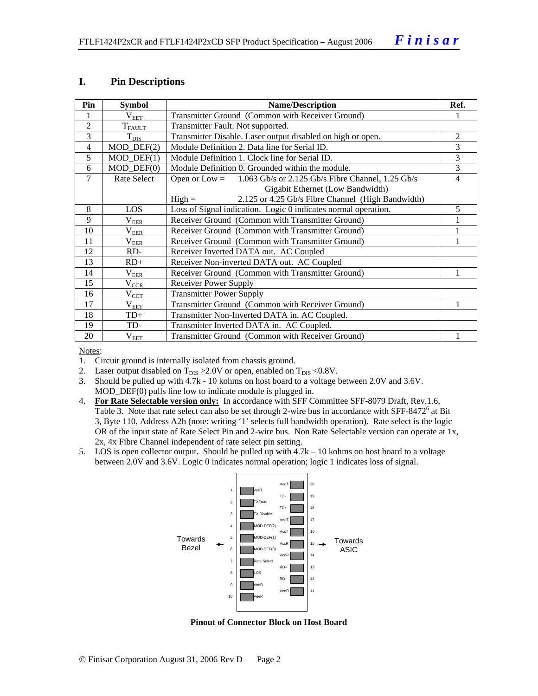#### **I. Pin Descriptions**

| Pin            | <b>Symbol</b>               | <b>Name/Description</b>                                              |   |  |  |  |  |  |
|----------------|-----------------------------|----------------------------------------------------------------------|---|--|--|--|--|--|
|                | $V_{EET}$                   | Transmitter Ground (Common with Receiver Ground)                     |   |  |  |  |  |  |
| $\overline{2}$ | $T_{FAULT}$                 | Transmitter Fault. Not supported.                                    |   |  |  |  |  |  |
| 3              | $T_{\text{DIS}}$            | Transmitter Disable. Laser output disabled on high or open.          | 2 |  |  |  |  |  |
| $\overline{4}$ | $MOD_$ DEF(2)               | Module Definition 2. Data line for Serial ID.                        | 3 |  |  |  |  |  |
| 5              | $MOD_$ <del>DEF</del> $(1)$ | Module Definition 1. Clock line for Serial ID.                       | 3 |  |  |  |  |  |
| 6              | $MOD_$ DEF $(0)$            | Module Definition 0. Grounded within the module.                     |   |  |  |  |  |  |
| 7              | Rate Select                 | 1.063 Gb/s or 2.125 Gb/s Fibre Channel, 1.25 Gb/s<br>Open or $Low =$ | 4 |  |  |  |  |  |
|                |                             | Gigabit Ethernet (Low Bandwidth)                                     |   |  |  |  |  |  |
|                |                             | 2.125 or 4.25 Gb/s Fibre Channel (High Bandwidth)<br>$High =$        |   |  |  |  |  |  |
| 8              | <b>LOS</b>                  | Loss of Signal indication. Logic 0 indicates normal operation.       | 5 |  |  |  |  |  |
| 9              | $\rm V_{EER}$               | Receiver Ground (Common with Transmitter Ground)                     |   |  |  |  |  |  |
| 10             | $\rm V_{\rm EER}$           | Receiver Ground (Common with Transmitter Ground)                     |   |  |  |  |  |  |
| 11             | $\rm V_{\rm EER}$           | Receiver Ground (Common with Transmitter Ground)                     |   |  |  |  |  |  |
| 12             | RD-                         | Receiver Inverted DATA out. AC Coupled                               |   |  |  |  |  |  |
| 13             | $RD+$                       | Receiver Non-inverted DATA out. AC Coupled                           |   |  |  |  |  |  |
| 14             | $\rm V_{EER}$               | Receiver Ground (Common with Transmitter Ground)                     |   |  |  |  |  |  |
| 15             | $V_{\underline{CCR}}$       | Receiver Power Supply                                                |   |  |  |  |  |  |
| 16             | $V_{CCT}$                   | <b>Transmitter Power Supply</b>                                      |   |  |  |  |  |  |
| 17             | $\rm V_{EET}$               | Transmitter Ground (Common with Receiver Ground)                     |   |  |  |  |  |  |
| 18             | TD+                         | Transmitter Non-Inverted DATA in. AC Coupled.                        |   |  |  |  |  |  |
| 19             | TD-                         | Transmitter Inverted DATA in. AC Coupled.                            |   |  |  |  |  |  |
| 20             | $\rm V_{EET}$               | Transmitter Ground (Common with Receiver Ground)                     |   |  |  |  |  |  |

Notes:

- 1. Circuit ground is internally isolated from chassis ground.
- 2. Laser output disabled on  $T_{DIS} > 2.0V$  or open, enabled on  $T_{DIS} < 0.8V$ .
- 3. Should be pulled up with 4.7k 10 kohms on host board to a voltage between 2.0V and 3.6V. MOD\_DEF(0) pulls line low to indicate module is plugged in.
- 4. **For Rate Selectable version only:** In accordance with SFF Committee SFF-8079 Draft, Rev.1.6, Table 3. Note that rate select can also be set through 2-wire bus in accordance with SFF-8472<sup>6</sup> at Bit 3, Byte 110, Address A2h (note: writing '1' selects full bandwidth operation). Rate select is the logic OR of the input state of Rate Select Pin and 2-wire bus. Non Rate Selectable version can operate at 1x, 2x, 4x Fibre Channel independent of rate select pin setting.
- 5. LOS is open collector output. Should be pulled up with 4.7k 10 kohms on host board to a voltage between 2.0V and 3.6V. Logic 0 indicates normal operation; logic 1 indicates loss of signal.



**Pinout of Connector Block on Host Board**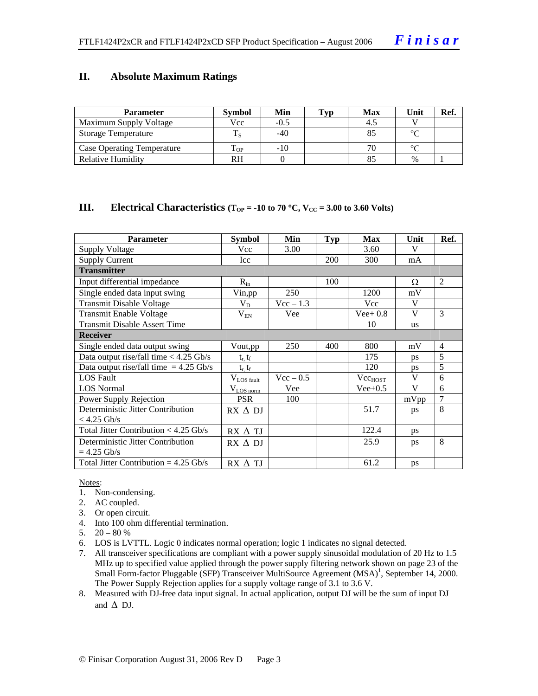#### **II. Absolute Maximum Ratings**

| <b>Parameter</b>                  | <b>Symbol</b> | Min    | Typ | <b>Max</b> | Unit   | Ref. |
|-----------------------------------|---------------|--------|-----|------------|--------|------|
| Maximum Supply Voltage            | Vcc           | $-0.5$ |     | -4.5       |        |      |
| Storage Temperature               |               | $-40$  |     |            | $\sim$ |      |
| <b>Case Operating Temperature</b> | OP-           | $-10$  |     |            | $\sim$ |      |
| <b>Relative Humidity</b>          | RH            |        |     |            | $\%$   |      |

#### **III.** Electrical Characteristics ( $T_{OP} = -10$  to 70 °C,  $V_{CC} = 3.00$  to 3.60 Volts)

| <b>Parameter</b>                         | <b>Symbol</b>           | Min         | <b>Typ</b> | <b>Max</b>   | Unit      | Ref.           |
|------------------------------------------|-------------------------|-------------|------------|--------------|-----------|----------------|
| <b>Supply Voltage</b>                    | Vcc                     | 3.00        |            | 3.60         | V         |                |
| <b>Supply Current</b>                    | Icc                     |             | <b>200</b> | 300          | mA        |                |
| <b>Transmitter</b>                       |                         |             |            |              |           |                |
| Input differential impedance             | $R_{in}$                |             | 100        |              | Ω         | 2              |
| Single ended data input swing            | Vin, pp                 | 250         |            | 1200         | mV        |                |
| <b>Transmit Disable Voltage</b>          | $V_D$                   | $Vec-1.3$   |            | Vcc          | V         |                |
| <b>Transmit Enable Voltage</b>           | $V_{E\underline{N}}$    | Vee         |            | $Vee+0.8$    | V         | 3              |
| <b>Transmit Disable Assert Time</b>      |                         |             |            | 10           | <b>us</b> |                |
| <b>Receiver</b>                          |                         |             |            |              |           |                |
| Single ended data output swing           | Vout, pp                | 250         | 400        | 800          | mV        | $\overline{4}$ |
| Data output rise/fall time $<$ 4.25 Gb/s | $t_r$ , $t_f$           |             |            | 175          | <b>DS</b> | 5              |
| Data output rise/fall time $= 4.25$ Gb/s | $t_r, t_f$              |             |            | 120          | ps        | 5              |
| <b>LOS Fault</b>                         | $V_{LOS \text{ fault}}$ | $Vec - 0.5$ |            | $Vec_{HOST}$ | V         | 6              |
| <b>LOS</b> Normal                        | $V_{LOS\,norm}$         | Vee         |            | $Vee+0.5$    | V         | 6              |
| Power Supply Rejection                   | <b>PSR</b>              | 100         |            |              | mVpp      | 7              |
| Deterministic Jitter Contribution        | RX ∆ DJ                 |             |            | 51.7         | ps        | 8              |
| $<$ 4.25 Gb/s                            |                         |             |            |              |           |                |
| Total Jitter Contribution $<$ 4.25 Gb/s  | $RX \wedge TI$          |             |            | 122.4        | ps        |                |
| Deterministic Jitter Contribution        | $RX \wedge DI$          |             |            | 25.9         | ps        | 8              |
| $= 4.25$ Gb/s                            |                         |             |            |              |           |                |
| Total Jitter Contribution = $4.25$ Gb/s  | $RX \wedge TI$          |             |            | 61.2         | ps        |                |

#### Notes:

- 1. Non-condensing.
- 2. AC coupled.
- 3. Or open circuit.
- 4. Into 100 ohm differential termination.
- 5.  $20 80 %$
- 6. LOS is LVTTL. Logic 0 indicates normal operation; logic 1 indicates no signal detected.
- 7. All transceiver specifications are compliant with a power supply sinusoidal modulation of 20 Hz to 1.5 MHz up to specified value applied through the power supply filtering network shown on page 23 of the Small Form-factor Pluggable (SFP) Transceiver MultiSource Agreement (MSA)<sup>1</sup>, September 14, 2000. The Power Supply Rejection applies for a supply voltage range of 3.1 to 3.6 V.
- 8. Measured with DJ-free data input signal. In actual application, output DJ will be the sum of input DJ and  $\Delta$  DJ.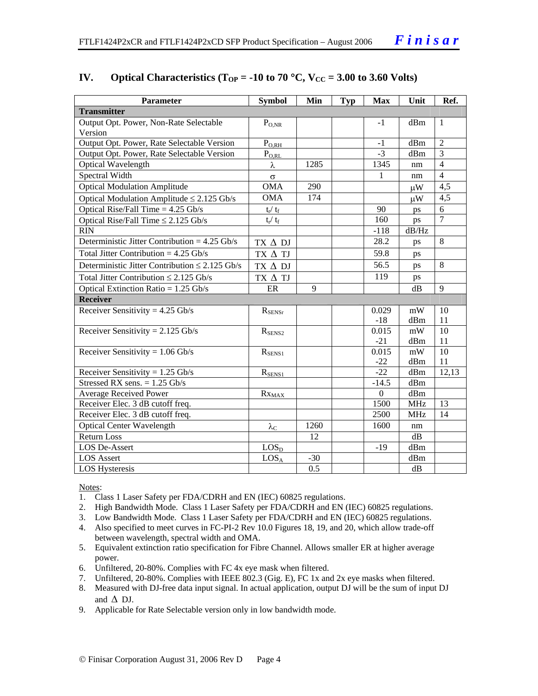| Parameter                                           | <b>Symbol</b>             | Min   | <b>Typ</b> | <b>Max</b>       | Unit       | Ref.           |
|-----------------------------------------------------|---------------------------|-------|------------|------------------|------------|----------------|
| <b>Transmitter</b>                                  |                           |       |            |                  |            |                |
| Output Opt. Power, Non-Rate Selectable              | $P_{O,NR}$                |       |            | $-1$             | dBm        | 1              |
| Version                                             |                           |       |            |                  |            |                |
| Output Opt. Power, Rate Selectable Version          | $P_{\text{O,RH}}$         |       |            | $-1$             | dBm        | $\overline{2}$ |
| Output Opt. Power, Rate Selectable Version          | $P_{O,RL}$                |       |            | $-3$             | dBm        | 3              |
| Optical Wavelength                                  | λ                         | 1285  |            | 1345             | nm         | $\overline{4}$ |
| Spectral Width                                      | $\sigma$                  |       |            | 1                | nm         | $\overline{4}$ |
| <b>Optical Modulation Amplitude</b>                 | <b>OMA</b>                | 290   |            |                  | $\mu$ W    | 4,5            |
| Optical Modulation Amplitude $\leq$ 2.125 Gb/s      | <b>OMA</b>                | 174   |            |                  | $\mu$ W    | 4,5            |
| Optical Rise/Fall Time $= 4.25$ Gb/s                | $t_r / t_f$               |       |            | 90               | ps         | 6              |
| Optical Rise/Fall Time $\leq$ 2.125 Gb/s            | $t_{\rm r} / t_{\rm f}$   |       |            | 160              | ps         | $\overline{7}$ |
| <b>RIN</b>                                          |                           |       |            | $-118$           | dB/Hz      |                |
| Deterministic Jitter Contribution = $4.25$ Gb/s     | $TX \Delta DI$            |       |            | 28.2             | ps         | 8              |
| Total Jitter Contribution = $4.25$ Gb/s             | TX $\Delta$ TJ            |       |            | 59.8             | ps         |                |
| Deterministic Jitter Contribution $\leq 2.125$ Gb/s | $TX \Delta DI$            |       |            | 56.5             | ps         | $\overline{8}$ |
| Total Jitter Contribution $\leq 2.125$ Gb/s         | TX $\Delta$ TJ            |       |            | 119              | ps         |                |
| Optical Extinction Ratio = $1.25$ Gb/s              | ER                        | 9     |            |                  | dB         | 9              |
| <b>Receiver</b>                                     |                           |       |            |                  |            |                |
| Receiver Sensitivity = $4.25$ Gb/s                  | $R_{\rm SENSr}$           |       |            | 0.029            | mW         | 10             |
|                                                     |                           |       |            | $-18$            | dBm        | 11             |
| Receiver Sensitivity = $2.125$ Gb/s                 | $R_{\text{SENS2}}$        |       |            | 0.015            | mW         | 10             |
|                                                     |                           |       |            | $-21$            | dBm        | 11             |
| Receiver Sensitivity = $1.06$ Gb/s                  | $R_{SENS1}$               |       |            | 0.015            | mW         | 10             |
|                                                     |                           |       |            | $-22$            | dBm        | 11             |
| Receiver Sensitivity = $1.25$ Gb/s                  | $R_{SENS1}$               |       |            | $-22$            | dBm        | 12,13          |
| Stressed RX sens. $= 1.25$ Gb/s                     |                           |       |            | $-14.5$          | dBm        |                |
| <b>Average Received Power</b>                       | $Rx_{MAX}$                |       |            | $\boldsymbol{0}$ | dBm        |                |
| Receiver Elec. 3 dB cutoff freq.                    |                           |       |            | 1500             | <b>MHz</b> | 13             |
| Receiver Elec. 3 dB cutoff freq.                    |                           |       |            | 2500             | <b>MHz</b> | 14             |
| <b>Optical Center Wavelength</b>                    | $\lambda_{\underline{C}}$ | 1260  |            | 1600             | nm         |                |
| <b>Return Loss</b>                                  |                           | 12    |            |                  | dB         |                |
| LOS De-Assert                                       | LOS <sub>D</sub>          |       |            | $-19$            | dBm        |                |
| <b>LOS</b> Assert                                   | LOS <sub>A</sub>          | $-30$ |            |                  | dBm        |                |
| LOS Hysteresis                                      |                           | 0.5   |            |                  | dB         |                |

#### **IV.** Optical Characteristics ( $T_{OP} = -10$  to 70 °C,  $V_{CC} = 3.00$  to 3.60 Volts)

Notes:

- 1. Class 1 Laser Safety per FDA/CDRH and EN (IEC) 60825 regulations.
- 2. High Bandwidth Mode. Class 1 Laser Safety per FDA/CDRH and EN (IEC) 60825 regulations.
- 3. Low Bandwidth Mode. Class 1 Laser Safety per FDA/CDRH and EN (IEC) 60825 regulations.
- 4. Also specified to meet curves in FC-PI-2 Rev 10.0 Figures 18, 19, and 20, which allow trade-off between wavelength, spectral width and OMA.
- 5. Equivalent extinction ratio specification for Fibre Channel. Allows smaller ER at higher average power.
- 6. Unfiltered, 20-80%. Complies with FC 4x eye mask when filtered.
- 7. Unfiltered, 20-80%. Complies with IEEE 802.3 (Gig. E), FC 1x and 2x eye masks when filtered.
- 8. Measured with DJ-free data input signal. In actual application, output DJ will be the sum of input DJ and  $\Delta$  DJ.
- 9. Applicable for Rate Selectable version only in low bandwidth mode.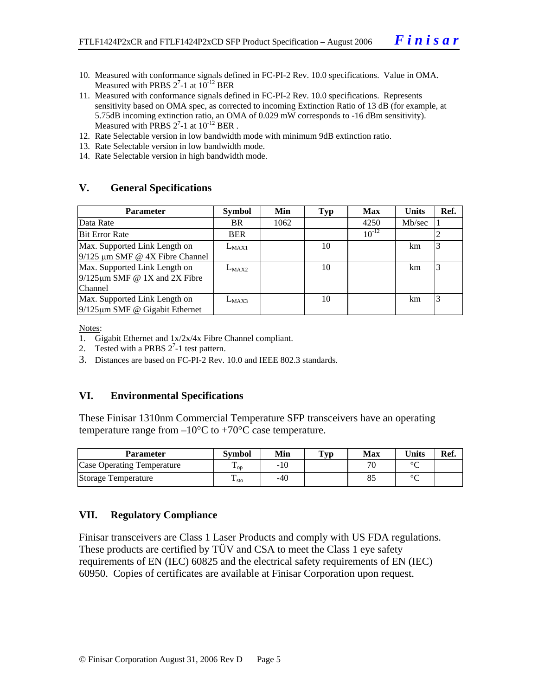- 10. Measured with conformance signals defined in FC-PI-2 Rev. 10.0 specifications. Value in OMA. Measured with PRBS  $2^7$ -1 at  $10^{-12}$  BER
- 11. Measured with conformance signals defined in FC-PI-2 Rev. 10.0 specifications. Represents sensitivity based on OMA spec, as corrected to incoming Extinction Ratio of 13 dB (for example, at 5.75dB incoming extinction ratio, an OMA of 0.029 mW corresponds to -16 dBm sensitivity). Measured with PRBS  $2^7$ -1 at  $10^{-12}$  BER.
- 12. Rate Selectable version in low bandwidth mode with minimum 9dB extinction ratio.
- 13. Rate Selectable version in low bandwidth mode.
- 14. Rate Selectable version in high bandwidth mode.

#### **V. General Specifications**

| <b>Parameter</b>                                                                       | <b>Symbol</b> | Min  | Typ | <b>Max</b> | <b>Units</b> | Ref. |
|----------------------------------------------------------------------------------------|---------------|------|-----|------------|--------------|------|
| Data Rate                                                                              | BR.           | 1062 |     | 4250       | Mb/sec       |      |
| <b>Bit Error Rate</b>                                                                  | <b>BER</b>    |      |     | $10^{-12}$ |              |      |
| Max. Supported Link Length on<br>$9/125$ µm SMF @ 4X Fibre Channel                     | $L_{MAX1}$    |      | 10  |            | km.          |      |
| Max. Supported Link Length on<br>$9/125 \mu m$ SMF @ 1X and 2X Fibre<br><b>Channel</b> | $L_{MAX2}$    |      | 10  |            | km           | 3    |
| Max. Supported Link Length on<br>$9/125 \mu m$ SMF @ Gigabit Ethernet                  | $L_{MAX3}$    |      | 10  |            | km           |      |

Notes:

- 1. Gigabit Ethernet and 1x/2x/4x Fibre Channel compliant.
- 2. Tested with a PRBS  $2^7$ -1 test pattern.
- 3. Distances are based on FC-PI-2 Rev. 10.0 and IEEE 802.3 standards.

#### **VI. Environmental Specifications**

These Finisar 1310nm Commercial Temperature SFP transceivers have an operating temperature range from  $-10^{\circ}$ C to  $+70^{\circ}$ C case temperature.

| Parameter                         | Svmbol                 | Min | $\mathbf{T}_{\mathbf{V}\mathbf{p}}$ | Max                      | $\mathbf{v}_{\text{links}}$ | Ref. |
|-----------------------------------|------------------------|-----|-------------------------------------|--------------------------|-----------------------------|------|
| <b>Case Operating Temperature</b> | $\mathbf{1}_{OD}$      | -10 |                                     | $\overline{\phantom{a}}$ | $\sim$                      |      |
| Storage Temperature               | m<br>$\frac{1}{1}$ sto | -40 |                                     |                          | $\sim$                      |      |

#### **VII. Regulatory Compliance**

Finisar transceivers are Class 1 Laser Products and comply with US FDA regulations. These products are certified by TÜV and CSA to meet the Class 1 eye safety requirements of EN (IEC) 60825 and the electrical safety requirements of EN (IEC) 60950. Copies of certificates are available at Finisar Corporation upon request.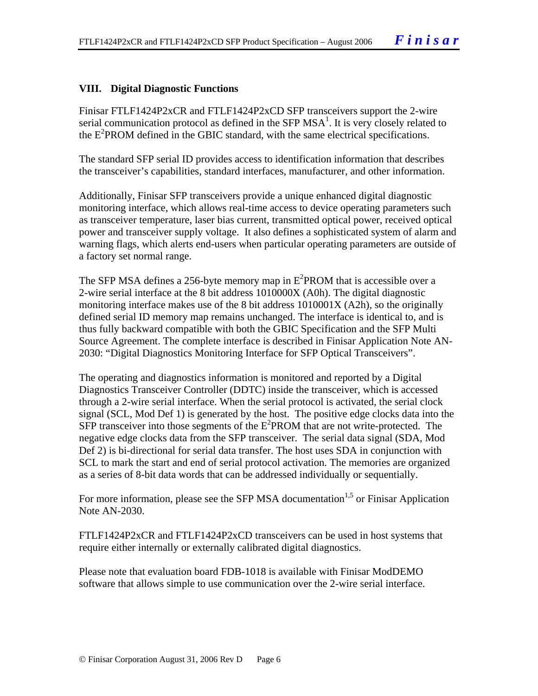#### **VIII. Digital Diagnostic Functions**

Finisar FTLF1424P2xCR and FTLF1424P2xCD SFP transceivers support the 2-wire serial communication protocol as defined in the SFP  $MSA<sup>1</sup>$ . It is very closely related to the E<sup>2</sup>PROM defined in the GBIC standard, with the same electrical specifications.

The standard SFP serial ID provides access to identification information that describes the transceiver's capabilities, standard interfaces, manufacturer, and other information.

Additionally, Finisar SFP transceivers provide a unique enhanced digital diagnostic monitoring interface, which allows real-time access to device operating parameters such as transceiver temperature, laser bias current, transmitted optical power, received optical power and transceiver supply voltage. It also defines a sophisticated system of alarm and warning flags, which alerts end-users when particular operating parameters are outside of a factory set normal range.

The SFP MSA defines a 256-byte memory map in  $E^2$ PROM that is accessible over a 2-wire serial interface at the 8 bit address 1010000X (A0h). The digital diagnostic monitoring interface makes use of the 8 bit address 1010001X (A2h), so the originally defined serial ID memory map remains unchanged. The interface is identical to, and is thus fully backward compatible with both the GBIC Specification and the SFP Multi Source Agreement. The complete interface is described in Finisar Application Note AN-2030: "Digital Diagnostics Monitoring Interface for SFP Optical Transceivers".

The operating and diagnostics information is monitored and reported by a Digital Diagnostics Transceiver Controller (DDTC) inside the transceiver, which is accessed through a 2-wire serial interface. When the serial protocol is activated, the serial clock signal (SCL, Mod Def 1) is generated by the host. The positive edge clocks data into the  $SFP$  transceiver into those segments of the  $E^2$ PROM that are not write-protected. The negative edge clocks data from the SFP transceiver. The serial data signal (SDA, Mod Def 2) is bi-directional for serial data transfer. The host uses SDA in conjunction with SCL to mark the start and end of serial protocol activation. The memories are organized as a series of 8-bit data words that can be addressed individually or sequentially.

For more information, please see the SFP MSA documentation<sup>1,5</sup> or Finisar Application Note AN-2030.

FTLF1424P2xCR and FTLF1424P2xCD transceivers can be used in host systems that require either internally or externally calibrated digital diagnostics.

Please note that evaluation board FDB-1018 is available with Finisar ModDEMO software that allows simple to use communication over the 2-wire serial interface.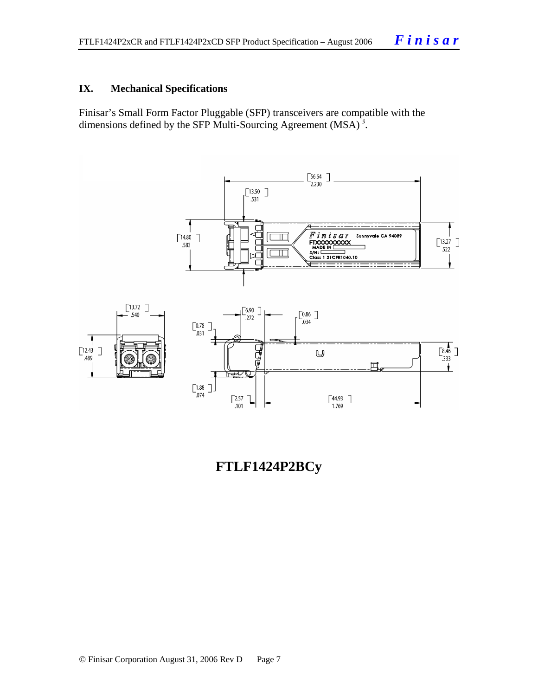#### **IX. Mechanical Specifications**

Finisar's Small Form Factor Pluggable (SFP) transceivers are compatible with the dimensions defined by the SFP Multi-Sourcing Agreement (MSA)<sup>3</sup>.



**FTLF1424P2BCy**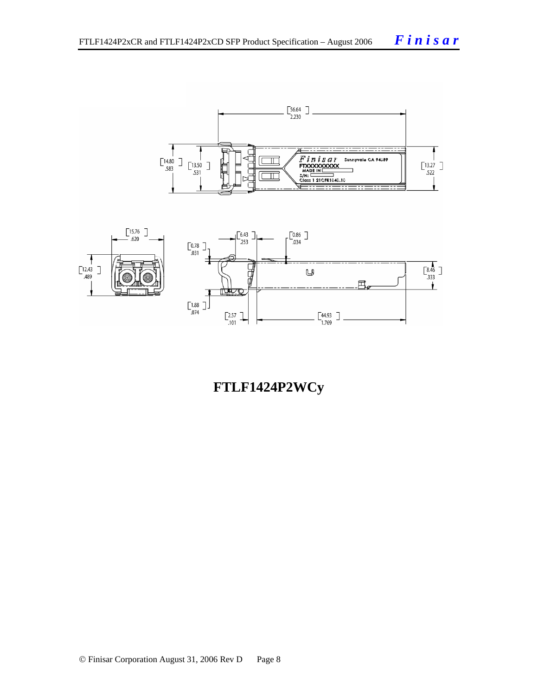



# **FTLF1424P2WCy**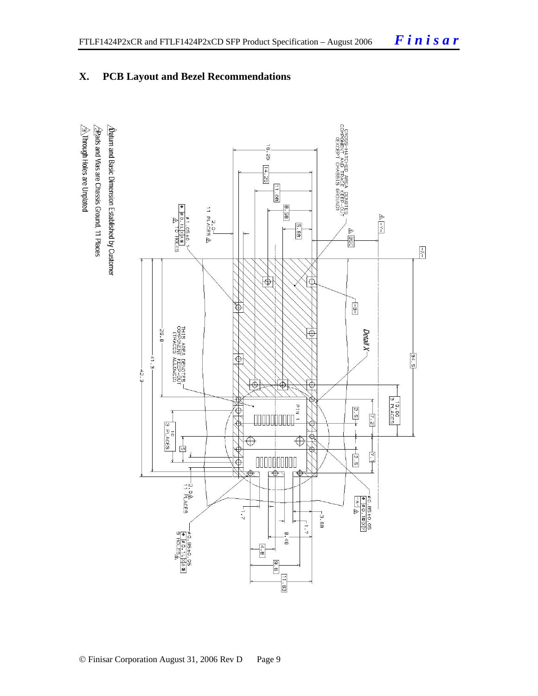## **X. PCB Layout and Bezel Recommendations**

 $\triangleq$ Through Holes are Unplated  $\Delta$  for and Basic Dimension Established by Customer  $\sqrt{2}$ Rads and Vias are Chassis Ground, 11 Places

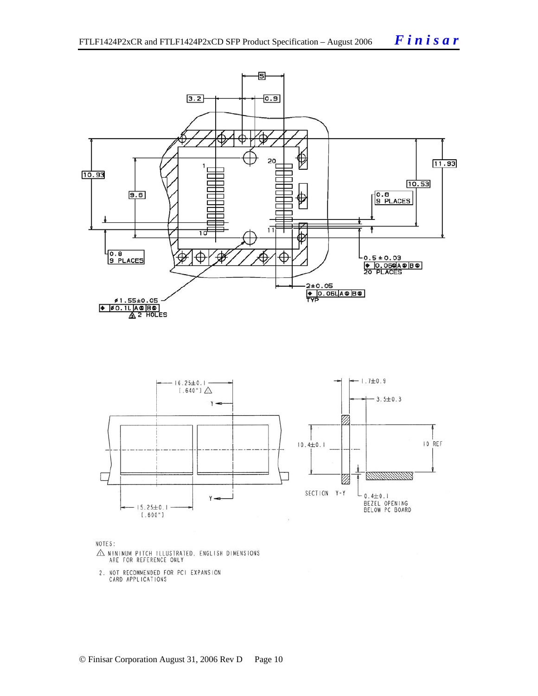



NOTES:

- $\triangle$  MINIMUM PITCH ILLUSTRATED, ENGLISH DIMENSIONS ARE FOR REFERENCE ONLY
- 2. NOT RECOMMENDED FOR PCI EXPANSION<br>CARD APPLICATIONS